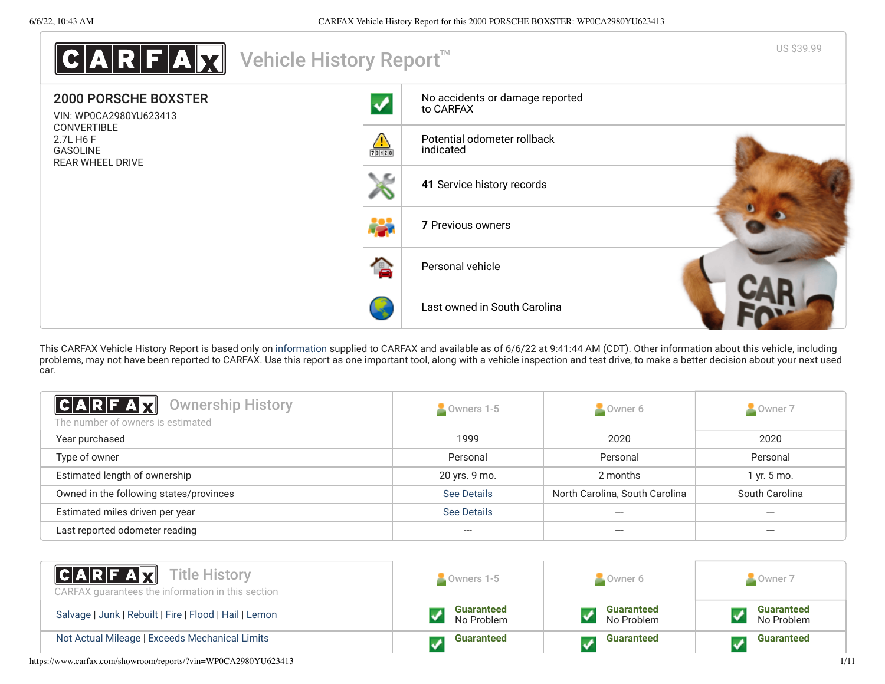

This CARFAX Vehicle History Report is based only on [information](http://www.carfax.com/company/vhr-data-sources) supplied to CARFAX and available as of 6/6/22 at 9:41:44 AM (CDT). Other information about this vehicle, including problems, may not have been reported to CARFAX. Use this report as one important tool, along with a vehicle inspection and test drive, to make a better decision about your next used car.

<span id="page-0-0"></span>

| C A R F A Z<br><b>Ownership History</b><br>The number of owners is estimated | Owners 1-5         | Owner 6                        | Owner 7        |
|------------------------------------------------------------------------------|--------------------|--------------------------------|----------------|
| Year purchased                                                               | 1999               | 2020                           | 2020           |
| Type of owner                                                                | Personal           | Personal                       | Personal       |
| Estimated length of ownership                                                | 20 yrs. 9 mo.      | 2 months                       | 1 yr. 5 mo.    |
| Owned in the following states/provinces                                      | See Details        | North Carolina, South Carolina | South Carolina |
| Estimated miles driven per year                                              | <b>See Details</b> | ---                            | $---$          |
| Last reported odometer reading                                               | ---                | ---                            |                |

| C A R F A Z<br><b>Title History</b><br>CARFAX guarantees the information in this section | Owners 1-5                      | Owner 6                         | Owner 7                         |
|------------------------------------------------------------------------------------------|---------------------------------|---------------------------------|---------------------------------|
| Salvage   Junk   Rebuilt   Fire   Flood   Hail   Lemon                                   | <b>Guaranteed</b><br>No Problem | <b>Guaranteed</b><br>No Problem | <b>Guaranteed</b><br>No Problem |
| Not Actual Mileage   Exceeds Mechanical Limits                                           | <b>Guaranteed</b>               | <b>Guaranteed</b>               | <b>Guaranteed</b>               |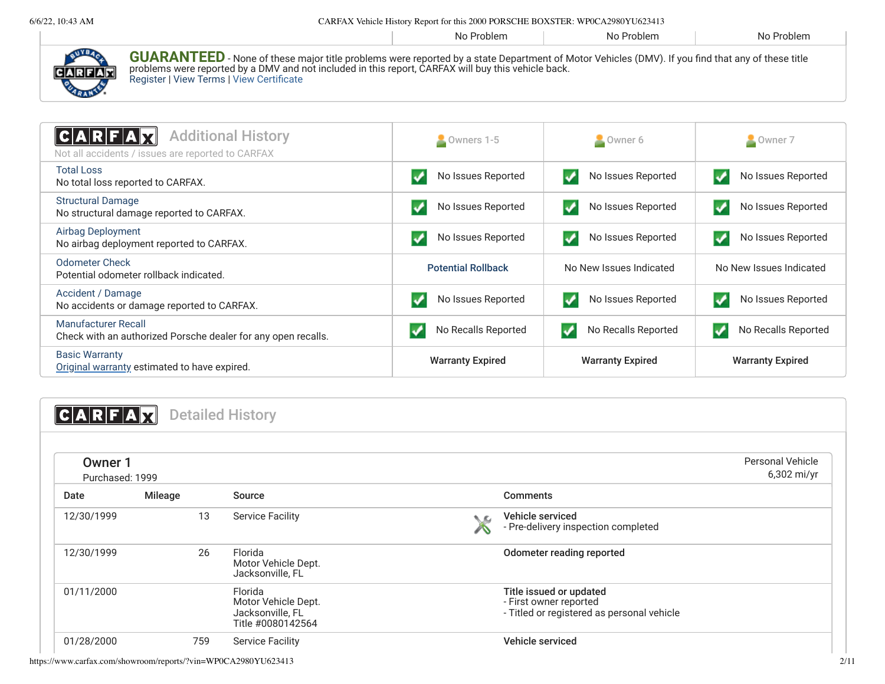| ., 10. |                                                                                                                                                                                                                                                                                                                   | CARTAIN VEHICLE HISTORY INODUCTOR HIS 2000 I ONDCHED DOND LEIN. HT 0CA22500 I O025-TIS |            |            |
|--------|-------------------------------------------------------------------------------------------------------------------------------------------------------------------------------------------------------------------------------------------------------------------------------------------------------------------|----------------------------------------------------------------------------------------|------------|------------|
|        |                                                                                                                                                                                                                                                                                                                   | No Problem                                                                             | No Problem | No Problem |
| CARFAR | <b>GUARANTEED</b> - None of these major title problems were reported by a state Department of Motor Vehicles (DMV). If you find that any of these title<br>problems were reported by a DMV and not included in this report, CARFAX will buy this vehicle back.<br><b>Register   View Terms   View Certificate</b> |                                                                                        |            |            |
|        |                                                                                                                                                                                                                                                                                                                   |                                                                                        |            |            |

<span id="page-1-0"></span>

| <b>Additional History</b><br> C A R F A<br>Not all accidents / issues are reported to CARFAX | Owners 1-5                | Owner 6                                | Owner 7                 |
|----------------------------------------------------------------------------------------------|---------------------------|----------------------------------------|-------------------------|
| <b>Total Loss</b><br>No total loss reported to CARFAX.                                       | No Issues Reported        | No Issues Reported<br>v                | No Issues Reported      |
| <b>Structural Damage</b><br>No structural damage reported to CARFAX.                         | No Issues Reported        | No Issues Reported<br>$\boldsymbol{V}$ | No Issues Reported      |
| Airbag Deployment<br>No airbag deployment reported to CARFAX.                                | No Issues Reported        | No Issues Reported<br>v                | No Issues Reported      |
| Odometer Check<br>Potential odometer rollback indicated.                                     | <b>Potential Rollback</b> | No New Issues Indicated                | No New Issues Indicated |
| Accident / Damage<br>No accidents or damage reported to CARFAX.                              | No Issues Reported        | No Issues Reported                     | No Issues Reported      |
| Manufacturer Recall<br>Check with an authorized Porsche dealer for any open recalls.         | No Recalls Reported       | No Recalls Reported<br>✓               | No Recalls Reported     |
| <b>Basic Warranty</b><br>Original warranty estimated to have expired.                        | <b>Warranty Expired</b>   | <b>Warranty Expired</b>                | <b>Warranty Expired</b> |

<span id="page-1-1"></span>**CARFAX** Detailed History

<span id="page-1-2"></span>

| Owner 1<br>Purchased: 1999 |                |                                                                         | <b>Personal Vehicle</b><br>6,302 mi/yr                                                          |
|----------------------------|----------------|-------------------------------------------------------------------------|-------------------------------------------------------------------------------------------------|
| Date                       | <b>Mileage</b> | Source                                                                  | <b>Comments</b>                                                                                 |
| 12/30/1999                 | 13             | <b>Service Facility</b>                                                 | Vehicle serviced<br>$\sim 10^{-1}$<br>- Pre-delivery inspection completed                       |
| 12/30/1999                 | 26             | Florida<br>Motor Vehicle Dept.<br>Jacksonville, FL                      | Odometer reading reported                                                                       |
| 01/11/2000                 |                | Florida<br>Motor Vehicle Dept.<br>Jacksonville, FL<br>Title #0080142564 | Title issued or updated<br>- First owner reported<br>- Titled or registered as personal vehicle |
| 01/28/2000                 | 759            | <b>Service Facility</b>                                                 | Vehicle serviced                                                                                |

https://www.carfax.com/showroom/reports/?vin=WP0CA2980YU623413 2/11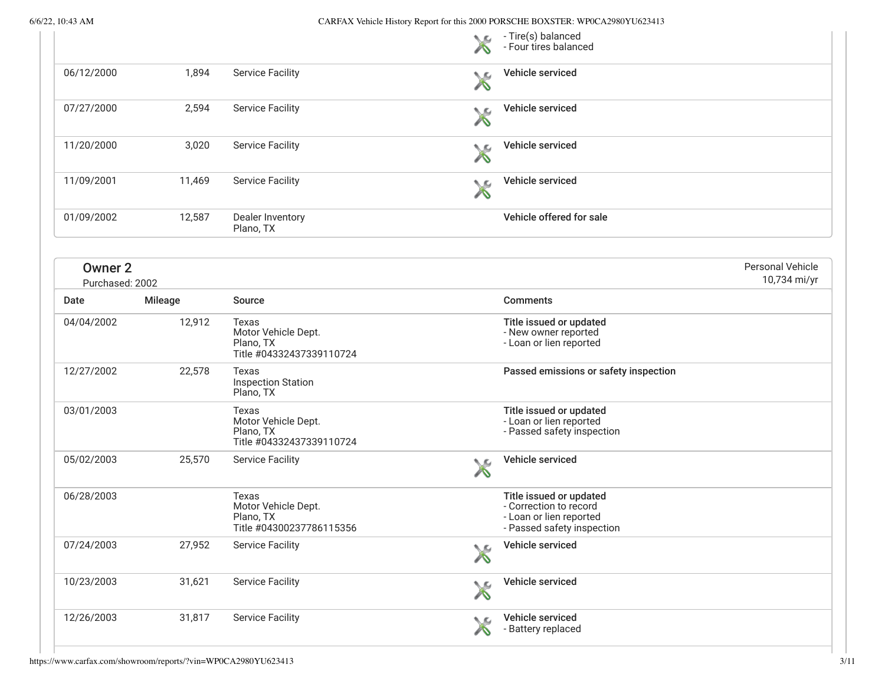|                                   |         |                                                                       | ◟▱              | - Tire(s) balanced<br>- Four tires balanced                                                                |                                  |
|-----------------------------------|---------|-----------------------------------------------------------------------|-----------------|------------------------------------------------------------------------------------------------------------|----------------------------------|
| 06/12/2000                        | 1,894   | <b>Service Facility</b>                                               | ◟▵              | <b>Vehicle serviced</b>                                                                                    |                                  |
| 07/27/2000                        | 2,594   | <b>Service Facility</b>                                               | ╲⋸              | Vehicle serviced                                                                                           |                                  |
| 11/20/2000                        | 3,020   | <b>Service Facility</b>                                               | N.G             | Vehicle serviced                                                                                           |                                  |
| 11/09/2001                        | 11,469  | <b>Service Facility</b>                                               | ∕∿              | Vehicle serviced                                                                                           |                                  |
| 01/09/2002                        | 12,587  | Dealer Inventory<br>Plano, TX                                         |                 | Vehicle offered for sale                                                                                   |                                  |
| <b>Owner 2</b><br>Purchased: 2002 |         |                                                                       |                 |                                                                                                            | Personal Vehicle<br>10,734 mi/yr |
| Date                              | Mileage | Source                                                                |                 | <b>Comments</b>                                                                                            |                                  |
| 04/04/2002                        | 12,912  | Texas<br>Motor Vehicle Dept.<br>Plano, TX<br>Title #04332437339110724 |                 | Title issued or updated<br>- New owner reported<br>- Loan or lien reported                                 |                                  |
| 12/27/2002                        | 22,578  | Texas<br><b>Inspection Station</b><br>Plano, TX                       |                 | Passed emissions or safety inspection                                                                      |                                  |
| 03/01/2003                        |         | Texas<br>Motor Vehicle Dept.<br>Plano, TX<br>Title #04332437339110724 |                 | Title issued or updated<br>- Loan or lien reported<br>- Passed safety inspection                           |                                  |
| 05/02/2003                        | 25,570  | <b>Service Facility</b>                                               | <b>No.</b><br>A | Vehicle serviced                                                                                           |                                  |
| 06/28/2003                        |         | Texas<br>Motor Vehicle Dept.<br>Plano, TX<br>Title #04300237786115356 |                 | Title issued or updated<br>- Correction to record<br>- Loan or lien reported<br>- Passed safety inspection |                                  |
| 07/24/2003                        | 27,952  | <b>Service Facility</b>                                               | ◥◚              | Vehicle serviced                                                                                           |                                  |
| 10/23/2003                        | 31,621  | <b>Service Facility</b>                                               | ╲⋸              | Vehicle serviced                                                                                           |                                  |
| 12/26/2003                        | 31,817  | <b>Service Facility</b>                                               | ◟◚              | Vehicle serviced<br>- Battery replaced                                                                     |                                  |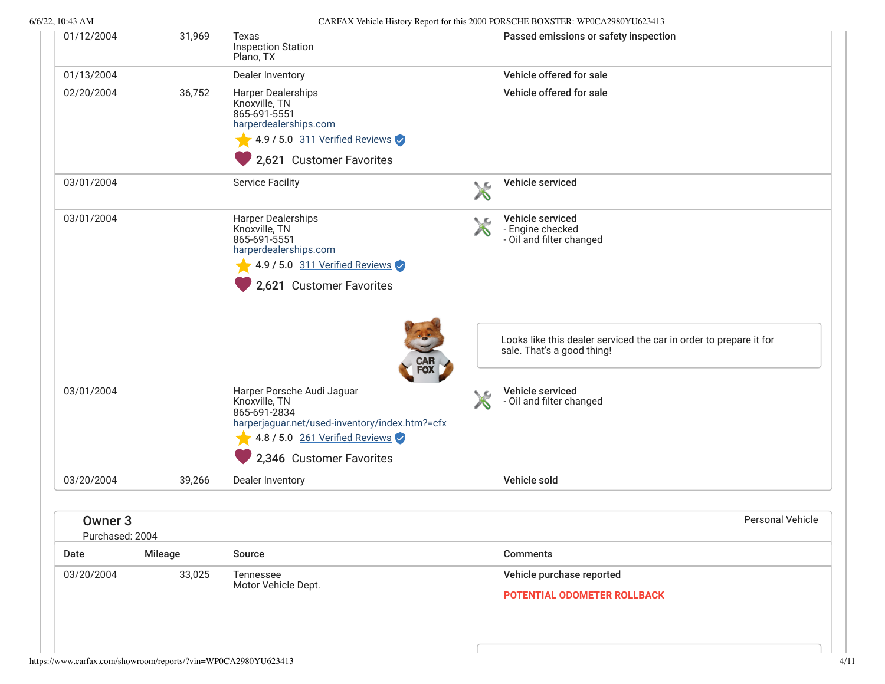| 01/12/2004                            | 31,969         | Texas<br><b>Inspection Station</b><br>Plano, TX                                                                                                                               |    | Passed emissions or safety inspection                                                            |
|---------------------------------------|----------------|-------------------------------------------------------------------------------------------------------------------------------------------------------------------------------|----|--------------------------------------------------------------------------------------------------|
| 01/13/2004                            |                | Dealer Inventory                                                                                                                                                              |    | Vehicle offered for sale                                                                         |
| 02/20/2004                            | 36,752         | <b>Harper Dealerships</b><br>Knoxville, TN<br>865-691-5551<br>harperdealerships.com<br>4.9 / 5.0 $311$ Verified Reviews<br>2,621 Customer Favorites                           |    | Vehicle offered for sale                                                                         |
| 03/01/2004                            |                | <b>Service Facility</b>                                                                                                                                                       | ↖⊆ | Vehicle serviced                                                                                 |
| 03/01/2004                            |                | <b>Harper Dealerships</b><br>Knoxville, TN<br>865-691-5551<br>harperdealerships.com<br>4.9 / 5.0 311 Verified Reviews<br>2,621 Customer Favorites                             | ◟▱ | Vehicle serviced<br>- Engine checked<br>- Oil and filter changed                                 |
|                                       |                | <b>CAR<br/>FOX</b>                                                                                                                                                            |    | Looks like this dealer serviced the car in order to prepare it for<br>sale. That's a good thing! |
| 03/01/2004                            |                | Harper Porsche Audi Jaguar<br>Knoxville, TN<br>865-691-2834<br>harperjaguar.net/used-inventory/index.htm?=cfx<br>4.8 / 5.0 $261$ Verified Reviews<br>2,346 Customer Favorites | ◟◚ | Vehicle serviced<br>- Oil and filter changed                                                     |
| 03/20/2004                            | 39,266         | Dealer Inventory                                                                                                                                                              |    | Vehicle sold                                                                                     |
| Owner <sub>3</sub><br>Purchased: 2004 |                |                                                                                                                                                                               |    | <b>Personal Vehicle</b>                                                                          |
| Date                                  | <b>Mileage</b> | Source                                                                                                                                                                        |    | <b>Comments</b>                                                                                  |
| 03/20/2004                            | 33,025         | Tennessee<br>Motor Vehicle Dept.                                                                                                                                              |    | Vehicle purchase reported<br><b>POTENTIAL ODOMETER ROLLBACK</b>                                  |
|                                       |                |                                                                                                                                                                               |    |                                                                                                  |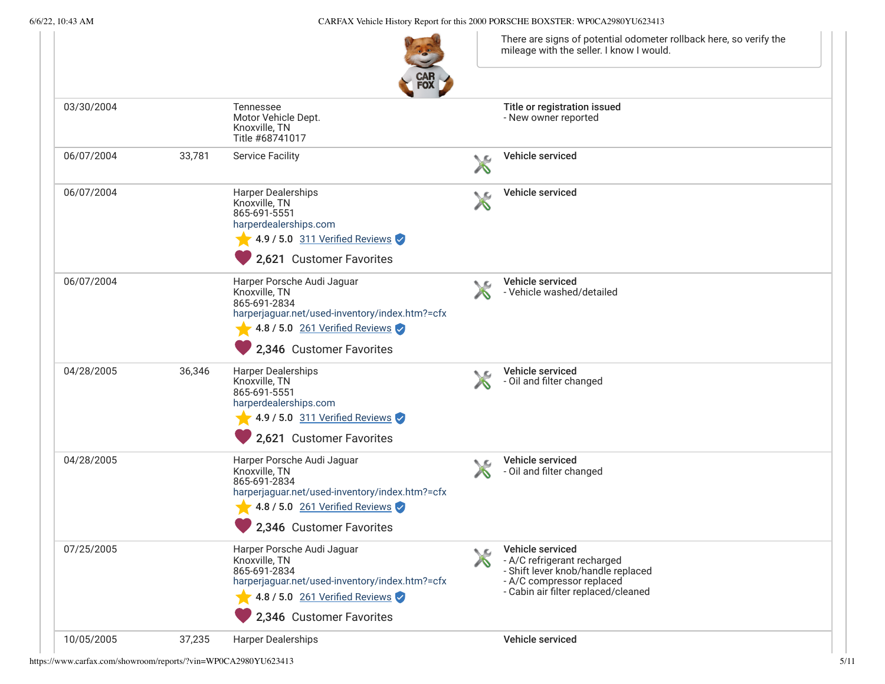6/6/22, 10:43 AM CARFAX Vehicle History Report for this 2000 PORSCHE BOXSTER: WP0CA2980YU623413

There are signs of potential odometer rollback here, so verify the mileage with the seller. I know I would.



| 03/30/2004 |        | Tennessee<br>Motor Vehicle Dept.<br>Knoxville, TN<br>Title #68741017                                                                                                        |    | Title or registration issued<br>- New owner reported                                                                                                      |  |
|------------|--------|-----------------------------------------------------------------------------------------------------------------------------------------------------------------------------|----|-----------------------------------------------------------------------------------------------------------------------------------------------------------|--|
| 06/07/2004 | 33,781 | <b>Service Facility</b>                                                                                                                                                     | ╲⋸ | <b>Vehicle serviced</b>                                                                                                                                   |  |
| 06/07/2004 |        | Harper Dealerships<br>Knoxville, TN<br>865-691-5551<br>harperdealerships.com<br>4.9 / 5.0 311 Verified Reviews<br>2,621 Customer Favorites                                  |    | <b>Vehicle serviced</b>                                                                                                                                   |  |
| 06/07/2004 |        | Harper Porsche Audi Jaguar<br>Knoxville, TN<br>865-691-2834<br>harperjaguar.net/used-inventory/index.htm?=cfx<br>4.8 / 5.0 261 Verified Reviews<br>2,346 Customer Favorites |    | Vehicle serviced<br>- Vehicle washed/detailed                                                                                                             |  |
| 04/28/2005 | 36,346 | Harper Dealerships<br>Knoxville, TN<br>865-691-5551<br>harperdealerships.com<br>4.9 / 5.0 311 Verified Reviews<br>2,621 Customer Favorites                                  |    | Vehicle serviced<br>- Oil and filter changed                                                                                                              |  |
| 04/28/2005 |        | Harper Porsche Audi Jaguar<br>Knoxville, TN<br>865-691-2834<br>harperjaguar.net/used-inventory/index.htm?=cfx<br>4.8 / 5.0 261 Verified Reviews<br>2,346 Customer Favorites |    | Vehicle serviced<br>- Oil and filter changed                                                                                                              |  |
| 07/25/2005 |        | Harper Porsche Audi Jaguar<br>Knoxville, TN<br>865-691-2834<br>harperjaguar.net/used-inventory/index.htm?=cfx<br>4.8 / 5.0 261 Verified Reviews<br>2,346 Customer Favorites |    | Vehicle serviced<br>- A/C refrigerant recharged<br>- Shift lever knob/handle replaced<br>- A/C compressor replaced<br>- Cabin air filter replaced/cleaned |  |
| 10/05/2005 | 37,235 | <b>Harper Dealerships</b>                                                                                                                                                   |    | Vehicle serviced                                                                                                                                          |  |

https://www.carfax.com/showroom/reports/?vin=WP0CA2980YU623413 5/11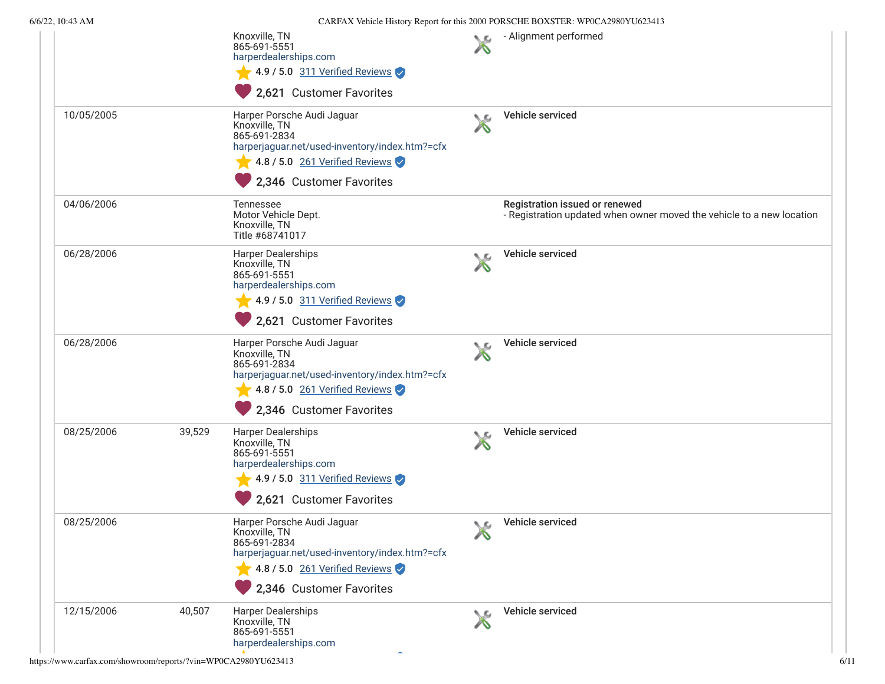|            |        | Knoxville, TN<br>865-691-5551<br>harperdealerships.com<br>$\blacktriangleright$ 4.9 / 5.0 311 Verified Reviews<br>2,621 Customer Favorites                                  |                     | - Alignment performed                                                                                   |
|------------|--------|-----------------------------------------------------------------------------------------------------------------------------------------------------------------------------|---------------------|---------------------------------------------------------------------------------------------------------|
| 10/05/2005 |        | Harper Porsche Audi Jaguar<br>Knoxville, TN<br>865-691-2834<br>harperjaguar.net/used-inventory/index.htm?=cfx<br>4.8 / 5.0 261 Verified Reviews<br>2,346 Customer Favorites | W                   | Vehicle serviced                                                                                        |
| 04/06/2006 |        | <b>Tennessee</b><br>Motor Vehicle Dept.<br>Knoxville, TN<br>Title #68741017                                                                                                 |                     | Registration issued or renewed<br>- Registration updated when owner moved the vehicle to a new location |
| 06/28/2006 |        | <b>Harper Dealerships</b><br>Knoxville, TN<br>865-691-5551<br>harperdealerships.com<br>$\sqrt{4.9/5.0}$ 311 Verified Reviews<br>2,621 Customer Favorites                    |                     | Vehicle serviced                                                                                        |
| 06/28/2006 |        | Harper Porsche Audi Jaguar<br>Knoxville, TN<br>865-691-2834<br>harperjaguar.net/used-inventory/index.htm?=cfx<br>4.8 / 5.0 261 Verified Reviews<br>2,346 Customer Favorites | N                   | Vehicle serviced                                                                                        |
| 08/25/2006 | 39,529 | <b>Harper Dealerships</b><br>Knoxville, TN<br>865-691-5551<br>harperdealerships.com<br>$\sqrt{$ 4.9 / 5.0 311 Verified Reviews<br>2,621 Customer Favorites                  |                     | Vehicle serviced                                                                                        |
| 08/25/2006 |        | Harper Porsche Audi Jaguar<br>Knoxville, TN<br>865-691-2834<br>harperjaguar.net/used-inventory/index.htm?=cfx<br>4.8 / 5.0 261 Verified Reviews<br>2,346 Customer Favorites | $\mathcal{L}$<br>∕∿ | Vehicle serviced                                                                                        |
| 12/15/2006 | 40,507 | <b>Harper Dealerships</b><br>Knoxville, TN<br>865-691-5551<br>harperdealerships.com                                                                                         |                     | Vehicle serviced                                                                                        |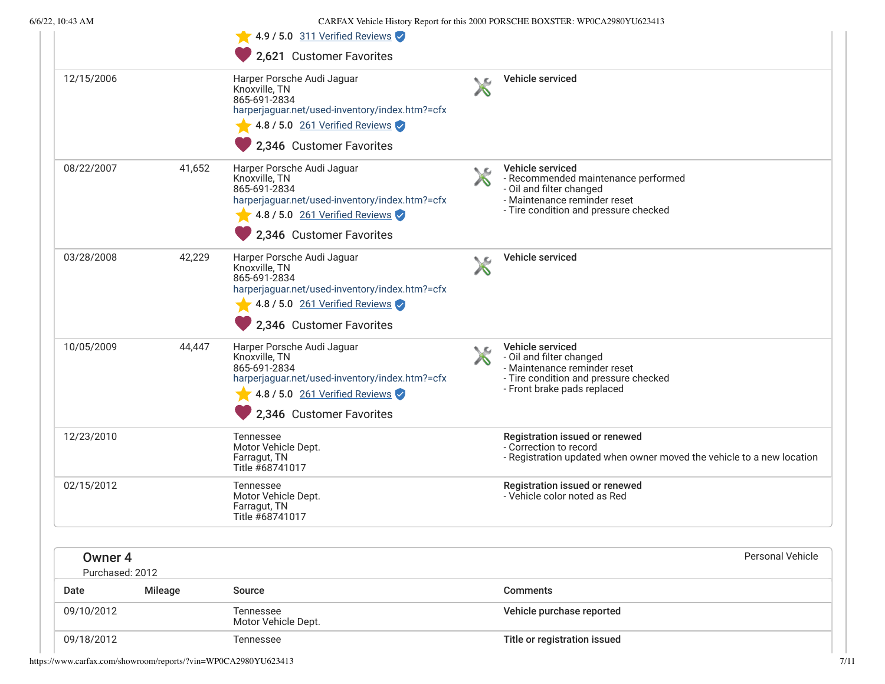|                            |                | 4.9 / 5.0 $311$ Verified Reviews                                                                                                                                              |    |                                                                                                                                                              |
|----------------------------|----------------|-------------------------------------------------------------------------------------------------------------------------------------------------------------------------------|----|--------------------------------------------------------------------------------------------------------------------------------------------------------------|
|                            |                | 2,621 Customer Favorites                                                                                                                                                      |    |                                                                                                                                                              |
| 12/15/2006                 |                | Harper Porsche Audi Jaguar<br>Knoxville, TN<br>865-691-2834<br>harperjaguar.net/used-inventory/index.htm?=cfx<br>4.8 / 5.0 $261$ Verified Reviews<br>2,346 Customer Favorites |    | Vehicle serviced                                                                                                                                             |
| 08/22/2007                 | 41,652         | Harper Porsche Audi Jaguar<br>Knoxville, TN<br>865-691-2834<br>harperjaguar.net/used-inventory/index.htm?=cfx<br>4.8 / 5.0 261 Verified Reviews<br>2,346 Customer Favorites   | ◟▵ | Vehicle serviced<br>- Recommended maintenance performed<br>- Oil and filter changed<br>- Maintenance reminder reset<br>- Tire condition and pressure checked |
| 03/28/2008                 | 42,229         | Harper Porsche Audi Jaguar<br>Knoxville, TN<br>865-691-2834<br>harperjaguar.net/used-inventory/index.htm?=cfx<br>4.8 / 5.0 $261$ Verified Reviews<br>2,346 Customer Favorites |    | Vehicle serviced                                                                                                                                             |
| 10/05/2009                 | 44,447         | Harper Porsche Audi Jaguar<br>Knoxville, TN<br>865-691-2834<br>harperjaguar.net/used-inventory/index.htm?=cfx<br>4.8 / 5.0 261 Verified Reviews<br>2,346 Customer Favorites   |    | Vehicle serviced<br>- Oil and filter changed<br>- Maintenance reminder reset<br>- Tire condition and pressure checked<br>- Front brake pads replaced         |
| 12/23/2010                 |                | <b>Tennessee</b><br>Motor Vehicle Dept.<br>Farragut, TN<br>Title #68741017                                                                                                    |    | Registration issued or renewed<br>- Correction to record<br>- Registration updated when owner moved the vehicle to a new location                            |
| 02/15/2012                 |                | <b>Tennessee</b><br>Motor Vehicle Dept.<br>Farragut, TN<br>Title #68741017                                                                                                    |    | Registration issued or renewed<br>- Vehicle color noted as Red                                                                                               |
| Owner 4<br>Purchased: 2012 |                |                                                                                                                                                                               |    | Personal Vehicle                                                                                                                                             |
| Date                       | <b>Mileage</b> | Source                                                                                                                                                                        |    | <b>Comments</b>                                                                                                                                              |
| 09/10/2012                 |                | Tennessee<br>Motor Vehicle Dept.                                                                                                                                              |    | Vehicle purchase reported                                                                                                                                    |
| 09/18/2012                 |                | Tennessee                                                                                                                                                                     |    | Title or registration issued                                                                                                                                 |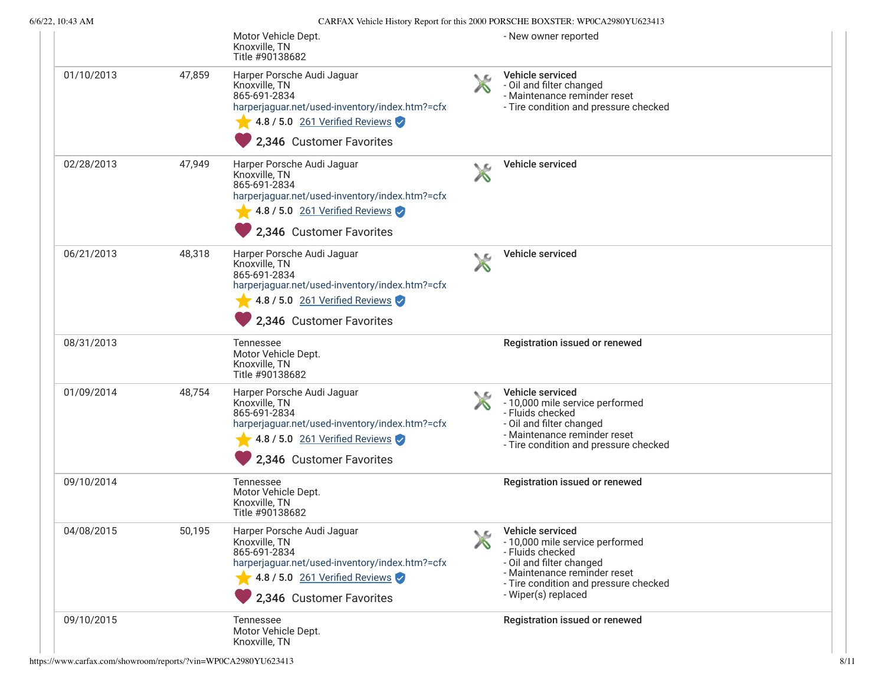|            |        | Motor Vehicle Dept.<br>Knoxville, TN<br>Title #90138682                                                                                                                                           |    | - New owner reported                                                                                                                                                                                |
|------------|--------|---------------------------------------------------------------------------------------------------------------------------------------------------------------------------------------------------|----|-----------------------------------------------------------------------------------------------------------------------------------------------------------------------------------------------------|
| 01/10/2013 | 47,859 | Harper Porsche Audi Jaguar<br>Knoxville, TN<br>865-691-2834<br>harperjaguar.net/used-inventory/index.htm?=cfx<br>4.8 / 5.0 261 Verified Reviews<br>2,346 Customer Favorites                       | ◟▱ | Vehicle serviced<br>- Oil and filter changed<br>- Maintenance reminder reset<br>- Tire condition and pressure checked                                                                               |
| 02/28/2013 | 47,949 | Harper Porsche Audi Jaguar<br>Knoxville, TN<br>865-691-2834<br>harperjaguar.net/used-inventory/index.htm?=cfx<br>4.8 / 5.0 $261$ Verified Reviews<br>2,346 Customer Favorites                     |    | <b>Vehicle serviced</b>                                                                                                                                                                             |
| 06/21/2013 | 48,318 | Harper Porsche Audi Jaguar<br>Knoxville, TN<br>865-691-2834<br>harperjaguar.net/used-inventory/index.htm?=cfx<br>4.8 / 5.0 261 Verified Reviews<br>2,346 Customer Favorites                       |    | Vehicle serviced                                                                                                                                                                                    |
| 08/31/2013 |        | Tennessee<br>Motor Vehicle Dept.<br>Knoxville, TN<br>Title #90138682                                                                                                                              |    | Registration issued or renewed                                                                                                                                                                      |
| 01/09/2014 | 48,754 | Harper Porsche Audi Jaguar<br>Knoxville, TN<br>865-691-2834<br>harperjaguar.net/used-inventory/index.htm?=cfx<br>$\blacktriangleright$ 4.8 / 5.0 261 Verified Reviews<br>2,346 Customer Favorites | ↖£ | Vehicle serviced<br>- 10,000 mile service performed<br>- Fluids checked<br>- Oil and filter changed<br>- Maintenance reminder reset<br>- Tire condition and pressure checked                        |
| 09/10/2014 |        | Tennessee<br>Motor Vehicle Dept.<br>Knoxville, TN<br>Title #90138682                                                                                                                              |    | Registration issued or renewed                                                                                                                                                                      |
| 04/08/2015 | 50,195 | Harper Porsche Audi Jaguar<br>Knoxville, TN<br>865-691-2834<br>harperjaguar.net/used-inventory/index.htm?=cfx<br>4.8 / 5.0 261 Verified Reviews<br>2,346 Customer Favorites                       | ╲⋐ | Vehicle serviced<br>- 10,000 mile service performed<br>- Fluids checked<br>- Oil and filter changed<br>- Maintenance reminder reset<br>- Tire condition and pressure checked<br>- Wiper(s) replaced |
| 09/10/2015 |        | Tennessee<br>Motor Vehicle Dept.<br>Knoxville, TN                                                                                                                                                 |    | Registration issued or renewed                                                                                                                                                                      |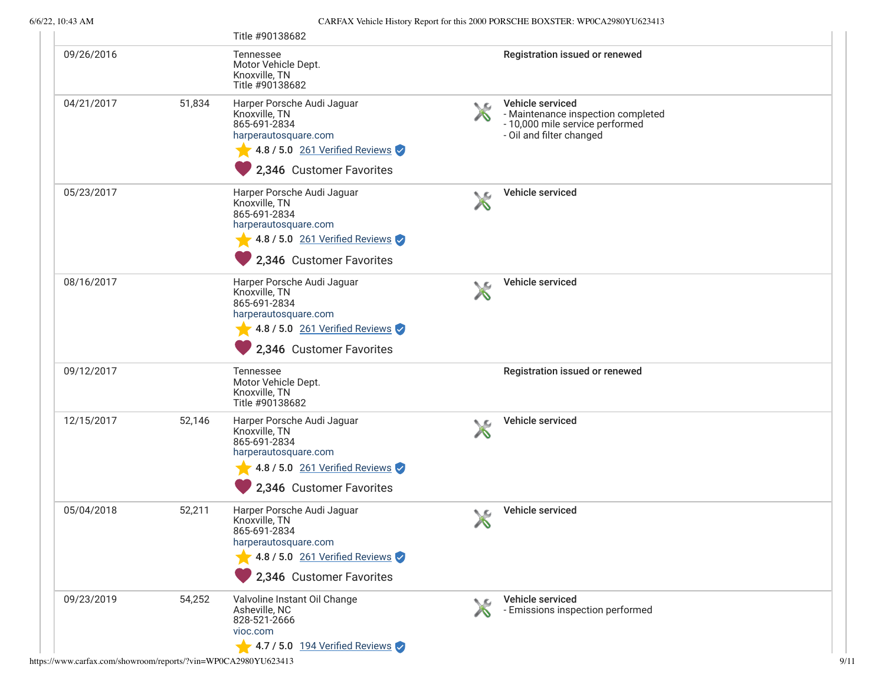|            |        | Title #90138682                                                                                                                                                         |            |                                                                                                                       |
|------------|--------|-------------------------------------------------------------------------------------------------------------------------------------------------------------------------|------------|-----------------------------------------------------------------------------------------------------------------------|
| 09/26/2016 |        | Tennessee<br>Motor Vehicle Dept.<br>Knoxville, TN<br>Title #90138682                                                                                                    |            | Registration issued or renewed                                                                                        |
| 04/21/2017 | 51,834 | Harper Porsche Audi Jaguar<br>Knoxville, TN<br>865-691-2834<br>harperautosquare.com<br>4.8 / 5.0 261 Verified Reviews<br>2,346 Customer Favorites                       | $\sqrt{2}$ | Vehicle serviced<br>- Maintenance inspection completed<br>- 10,000 mile service performed<br>- Oil and filter changed |
| 05/23/2017 |        | Harper Porsche Audi Jaguar<br>Knoxville, TN<br>865-691-2834<br>harperautosquare.com<br>$\blacktriangleright$ 4.8 / 5.0 261 Verified Reviews<br>2,346 Customer Favorites |            | Vehicle serviced                                                                                                      |
| 08/16/2017 |        | Harper Porsche Audi Jaguar<br>Knoxville, TN<br>865-691-2834<br>harperautosquare.com<br>4.8 / 5.0 261 Verified Reviews<br>2,346 Customer Favorites                       |            | Vehicle serviced                                                                                                      |
| 09/12/2017 |        | Tennessee<br>Motor Vehicle Dept.<br>Knoxville, TN<br>Title #90138682                                                                                                    |            | Registration issued or renewed                                                                                        |
| 12/15/2017 | 52,146 | Harper Porsche Audi Jaguar<br>Knoxville, TN<br>865-691-2834<br>harperautosquare.com<br>$\sqrt{4.8/5.0}$ 261 Verified Reviews<br>2,346 Customer Favorites                |            | Vehicle serviced                                                                                                      |
| 05/04/2018 | 52,211 | Harper Porsche Audi Jaguar<br>Knoxville, TN<br>865-691-2834<br>harperautosquare.com<br>$\blacktriangleright$ 4.8 / 5.0 261 Verified Reviews<br>2,346 Customer Favorites | ∕∿         | Vehicle serviced                                                                                                      |
| 09/23/2019 | 54,252 | Valvoline Instant Oil Change<br>Asheville, NC<br>828-521-2666<br>vioc.com<br>$\blacktriangleright$ 4.7 / 5.0 194 Verified Reviews                                       | ◟▱         | Vehicle serviced<br>- Emissions inspection performed                                                                  |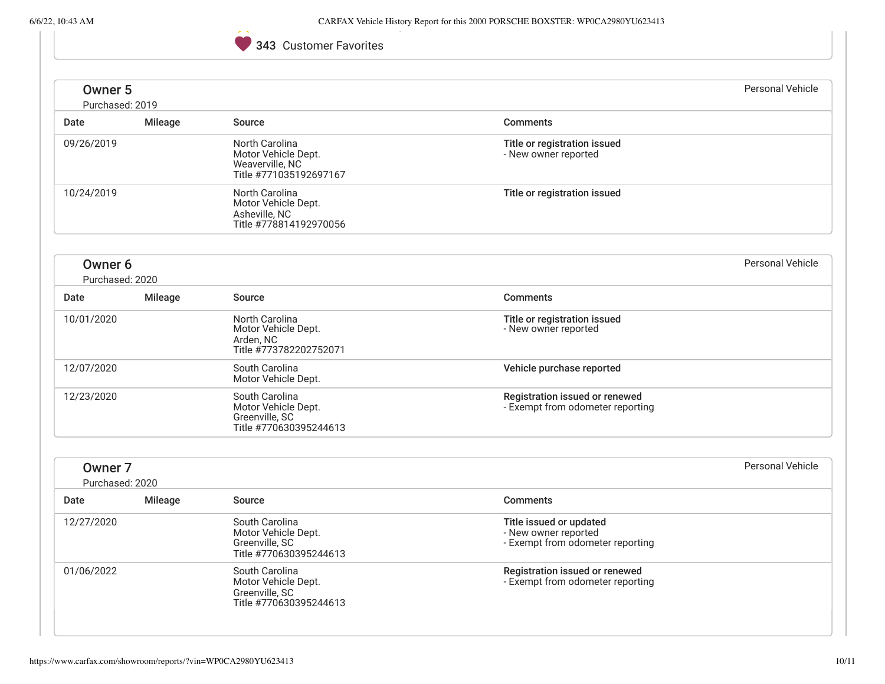# 343 Customer Favorites

|                                       |                |                                                                                    |                                                                                     | Personal Vehicle |
|---------------------------------------|----------------|------------------------------------------------------------------------------------|-------------------------------------------------------------------------------------|------------------|
| Owner <sub>5</sub><br>Purchased: 2019 |                |                                                                                    |                                                                                     |                  |
| Date                                  | <b>Mileage</b> | Source                                                                             | <b>Comments</b>                                                                     |                  |
| 09/26/2019                            |                | North Carolina<br>Motor Vehicle Dept.<br>Weaverville, NC<br>Title #771035192697167 | Title or registration issued<br>- New owner reported                                |                  |
| 10/24/2019                            |                | North Carolina<br>Motor Vehicle Dept.<br>Asheville, NC<br>Title #778814192970056   | Title or registration issued                                                        |                  |
| Owner <sub>6</sub><br>Purchased: 2020 |                |                                                                                    |                                                                                     | Personal Vehicle |
| Date                                  | <b>Mileage</b> | Source                                                                             | <b>Comments</b>                                                                     |                  |
| 10/01/2020                            |                | North Carolina<br>Motor Vehicle Dept.<br>Arden, NC<br>Title #773782202752071       | Title or registration issued<br>- New owner reported                                |                  |
| 12/07/2020                            |                | South Carolina<br>Motor Vehicle Dept.                                              | Vehicle purchase reported                                                           |                  |
| 12/23/2020                            |                | South Carolina<br>Motor Vehicle Dept.<br>Greenville, SC<br>Title #770630395244613  | Registration issued or renewed<br>- Exempt from odometer reporting                  |                  |
| Owner <sub>7</sub><br>Purchased: 2020 |                |                                                                                    |                                                                                     | Personal Vehicle |
| Date                                  | Mileage        | Source                                                                             | <b>Comments</b>                                                                     |                  |
| 12/27/2020                            |                | South Carolina<br>Motor Vehicle Dept.<br>Greenville, SC<br>Title #770630395244613  | Title issued or updated<br>- New owner reported<br>- Exempt from odometer reporting |                  |
| 01/06/2022                            |                | South Carolina<br>Motor Vehicle Dept.<br>Greenville, SC<br>Title #770630395244613  | Registration issued or renewed<br>- Exempt from odometer reporting                  |                  |